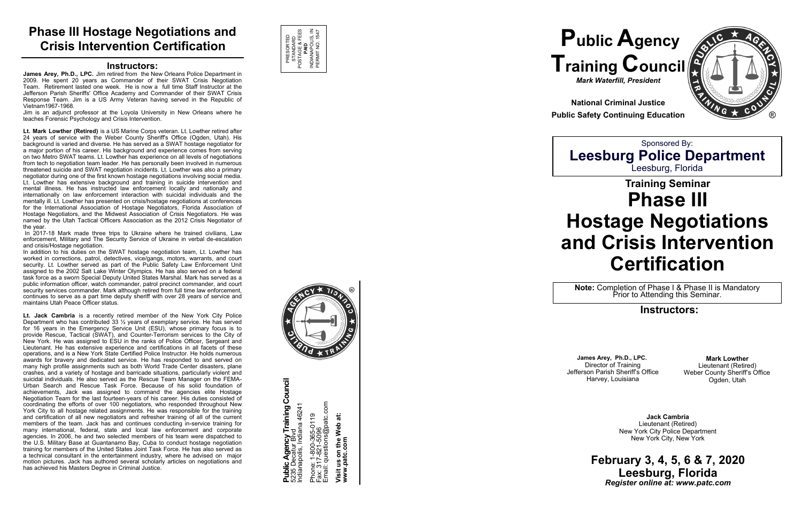# **Training Seminar Phase III Hostage Negotiations and Crisis Intervention Certification**

### **Instructors:**

### **February 3, 4, 5, 6 & 7, 2020 Leesburg, Florida** *Register online at: www.patc.com*



**National Criminal Justice Public Safety Continuing Education**

#### **Instructors:**

**James Arey, Ph.D., LPC.** Jim retired from the New Orleans Police Department in 2009. He spent 20 years as Commander of their SWAT Crisis Negotiation Team. Retirement lasted one week. He is now a full time Staff Instructor at the Jefferson Parish Sheriffs' Office Academy and Commander of their SWAT Crisis Response Team. Jim is a US Army Veteran having served in the Republic of Vietnam1967 -1968.

Jim is an adjunct professor at the Loyola University in New Orleans where he teaches Forensic Psychology and Crisis Intervention.

**Lt. Mark Lowther (Retired)** is a US Marine Corps veteran. Lt. Lowther retired after 24 years of service with the Weber County Sheriff's Office (Ogden, Utah). His background is varied and diverse. He has served as a SWAT hostage negotiator for a major portion of his career. His background and experience comes from serving on two Metro SWAT teams. Lt. Lowther has experience on all levels of negotiations from tech to negotiation team leader. He has personally been involved in numerous threatened suicide and SWAT negotiation incidents. Lt. Lowther was also a primary negotiator during one of the first known hostage negotiations involving social media. Lt. Lowther has extensive background and training in suicide intervention and mental illness. He has instructed law enforcement locally and nationally and internationally on law enforcement interaction with suicidal individuals and the mentally ill. Lt. Lowther has presented on crisis/hostage negotiations at conferences for the International Association of Hostage Negotiators, Florida Association of Hostage Negotiators, and the Midwest Association of Crisis Negotiators. He was named by the Utah Tactical Officers Association as the 2012 Crisis Negotiator of the year.

In 2017 -18 Mark made three trips to Ukraine where he trained civilians, Law enforcement, Military and The Security Service of Ukraine in verbal de -escalation and crisis/Hostage negotiation.

> **Public Agency Training Council**<br>5235 Decatur Blvd<br>Indianapolis, Indiana 46241 **Public Agency Training Council** Phone: 1-800-365-0119<br>Fax: 317-821-5096<br>Email: questions@patc.com Email: questions@patc.com Indianapolis, Indiana 46241 Phone: 1-800-365-0119 Fax: 317-821-5096 5235 Decatur Blvd

In addition to his duties on the SWAT hostage negotiation team, Lt. Lowther has worked in corrections, patrol, detectives, vice/gangs, motors, warrants, and court security. Lt. Lowther served as part of the Public Safety Law Enforcement Unit assigned to the 2002 Salt Lake Winter Olympics. He has also served on a federal task force as a sworn Special Deputy United States Marshal. Mark has served as a public information officer, watch commander, patrol precinct commander, and court security services commander. Mark although retired from full time law enforcement, continues to serve as a part time deputy sheriff with over 28 years of service and maintains Utah Peace Officer status.

**Lt. Jack Cambria** is a recently retired member of the New York City Police Department who has contributed 33 ½ years of exemplary service. He has served for 16 years in the Emergency Service Unit (ESU), whose primary focus is to provide Rescue, Tactical (SWAT), and Counter -Terrorism services to the City of New York. He was assigned to ESU in the ranks of Police Officer, Sergeant and Lieutenant. He has extensive experience and certifications in all facets of these operations, and is a New York State Certified Police Instructor. He holds numerous awards for bravery and dedicated service. He has responded to and served on many high profile assignments such as both World Trade Center disasters, plane crashes, and a variety of hostage and barricade situations, particularly violent and suicidal individuals. He also served as the Rescue Team Manager on the FEMA - Urban Search and Rescue Task Force. Because of his solid foundation of achievements, Jack was assigned to command the agencies elite Hostage Negotiation Team for the last fourteen -years of his career. His duties consisted of coordinating the efforts of over 100 negotiators, who responded throughout New York City to all hostage related assignments. He was responsible for the training and certification of all new negotiators and refresher training of all of the current members of the team. Jack has and continues conducting in -service training for many international, federal, state and local law enforcement and corporate agencies. In 2006, he and two selected members of his team were dispatched to the U.S. Military Base at Guantanamo Bay, Cuba to conduct hostage negotiation training for members of the United States Joint Task Force. He has also served as a technical consultant in the entertainment industry, where he advised on major motion pictures. Jack has authored several scholarly articles on negotiations and has achieved his Masters Degree in Criminal Justice.



**Note:** Completion of Phase I & Phase II is Mandatory Prior to Attending this Seminar.

# **Phase III Hostage Negotiations and Crisis Intervention Certificatio n**

**Visit us on the Web at: www.patc.com**



®

**Mark Lowther**  Lieutenant (Retired) Weber County Sheriff 's Office Ogden, Utah

**James Arey, Ph.D., LPC.** Director of Training Jefferson Parish Sheriff 's Office Harvey, Louisiana

> **Jack Cambria** Lieutenant (Retired) New York City Police Department New York City, New York



Sponsored By: **Leesburg Police Department** Leesburg, Florida